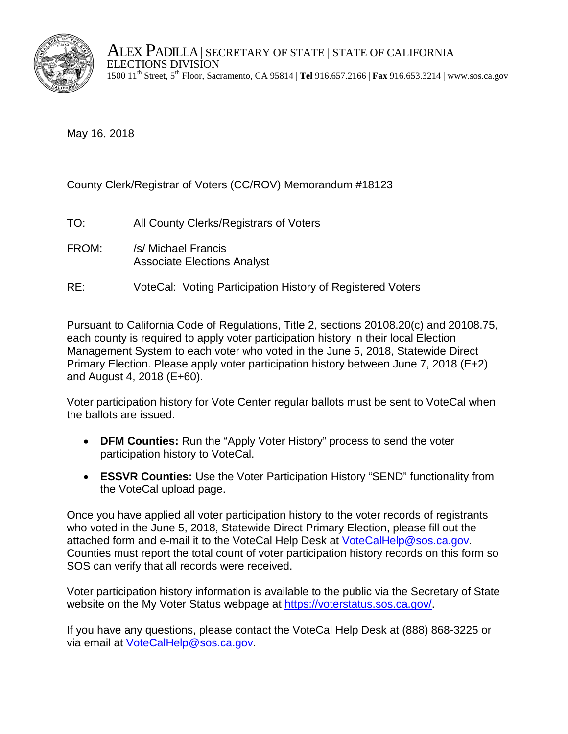

ALEX PADILLA | SECRETARY OF STATE | STATE OF CALIFORNIA<br>ELECTIONS DIVISION 1500 11th Street, 5th Floor, Sacramento, CA 95814 | **Tel** 916.657.2166 | **Fax** 916.653.3214 | www.sos.ca.gov

May 16, 2018

County Clerk/Registrar of Voters (CC/ROV) Memorandum #18123

- TO: All County Clerks/Registrars of Voters
- FROM: /s/ Michael Francis Associate Elections Analyst
- RE: VoteCal: Voting Participation History of Registered Voters

Pursuant to California Code of Regulations, Title 2, sections 20108.20(c) and 20108.75, each county is required to apply voter participation history in their local Election Management System to each voter who voted in the June 5, 2018, Statewide Direct Primary Election. Please apply voter participation history between June 7, 2018 (E+2) and August 4, 2018 (E+60).

Voter participation history for Vote Center regular ballots must be sent to VoteCal when the ballots are issued.

- **DFM Counties:** Run the "Apply Voter History" process to send the voter participation history to VoteCal.
- **ESSVR Counties:** Use the Voter Participation History "SEND" functionality from the VoteCal upload page.

Once you have applied all voter participation history to the voter records of registrants who voted in the June 5, 2018, Statewide Direct Primary Election, please fill out the attached form and e-mail it to the VoteCal Help Desk at [VoteCalHelp@sos.ca.gov.](mailto:VoteCalHelp@sos.ca.gov) Counties must report the total count of voter participation history records on this form so SOS can verify that all records were received.

Voter participation history information is available to the public via the Secretary of State website on the My Voter Status webpage at [https://voterstatus.sos.ca.gov/.](https://voterstatus.sos.ca.gov/)

If you have any questions, please contact the VoteCal Help Desk at (888) 868-3225 or via email at [VoteCalHelp@sos.ca.gov.](mailto:VoteCalHelp@sos.ca.gov)